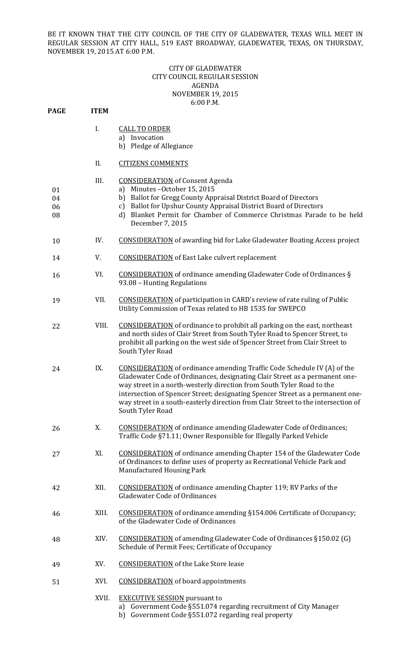BE IT KNOWN THAT THE CITY COUNCIL OF THE CITY OF GLADEWATER, TEXAS WILL MEET IN REGULAR SESSION AT CITY HALL, 519 EAST BROADWAY, GLADEWATER, TEXAS, ON THURSDAY, NOVEMBER 19, 2015 AT 6:00 P.M.

## CITY OF GLADEWATER **CITY COUNCIL REGULAR SESSION** AGENDA NOVEMBER 19, 2015 6:00 P.M.

| <b>PAGE</b>          | <b>ITEM</b> |                                                                                                                                                                                                                                                                                                                                                                                                                                   |
|----------------------|-------------|-----------------------------------------------------------------------------------------------------------------------------------------------------------------------------------------------------------------------------------------------------------------------------------------------------------------------------------------------------------------------------------------------------------------------------------|
|                      | I.          | <b>CALL TO ORDER</b><br>a) Invocation<br>b) Pledge of Allegiance                                                                                                                                                                                                                                                                                                                                                                  |
|                      | II.         | <b>CITIZENS COMMENTS</b>                                                                                                                                                                                                                                                                                                                                                                                                          |
| 01<br>04<br>06<br>08 | III.        | <b>CONSIDERATION</b> of Consent Agenda<br>a) Minutes-October 15, 2015<br>b) Ballot for Gregg County Appraisal District Board of Directors<br>Ballot for Upshur County Appraisal District Board of Directors<br>c)<br>d) Blanket Permit for Chamber of Commerce Christmas Parade to be held<br>December 7, 2015                                                                                                                    |
| 10                   | IV.         | <b>CONSIDERATION</b> of awarding bid for Lake Gladewater Boating Access project                                                                                                                                                                                                                                                                                                                                                   |
| 14                   | V.          | <b>CONSIDERATION</b> of East Lake culvert replacement                                                                                                                                                                                                                                                                                                                                                                             |
| 16                   | VI.         | <b>CONSIDERATION</b> of ordinance amending Gladewater Code of Ordinances §<br>93.08 - Hunting Regulations                                                                                                                                                                                                                                                                                                                         |
| 19                   | VII.        | <b>CONSIDERATION</b> of participation in CARD's review of rate ruling of Public<br>Utility Commission of Texas related to HB 1535 for SWEPCO                                                                                                                                                                                                                                                                                      |
| 22                   | VIII.       | <b>CONSIDERATION</b> of ordinance to prohibit all parking on the east, northeast<br>and north sides of Clair Street from South Tyler Road to Spencer Street, to<br>prohibit all parking on the west side of Spencer Street from Clair Street to<br>South Tyler Road                                                                                                                                                               |
| 24                   | IX.         | <b>CONSIDERATION</b> of ordinance amending Traffic Code Schedule IV (A) of the<br>Gladewater Code of Ordinances, designating Clair Street as a permanent one-<br>way street in a north-westerly direction from South Tyler Road to the<br>intersection of Spencer Street; designating Spencer Street as a permanent one-<br>way street in a south-easterly direction from Clair Street to the intersection of<br>South Tyler Road |
| 26                   | X.          | <b>CONSIDERATION</b> of ordinance amending Gladewater Code of Ordinances;<br>Traffic Code §71.11; Owner Responsible for Illegally Parked Vehicle                                                                                                                                                                                                                                                                                  |
| 27                   | XI.         | <b>CONSIDERATION</b> of ordinance amending Chapter 154 of the Gladewater Code<br>of Ordinances to define uses of property as Recreational Vehicle Park and<br><b>Manufactured Housing Park</b>                                                                                                                                                                                                                                    |
| 42                   | XII.        | <b>CONSIDERATION</b> of ordinance amending Chapter 119; RV Parks of the<br><b>Gladewater Code of Ordinances</b>                                                                                                                                                                                                                                                                                                                   |
| 46                   | XIII.       | <b>CONSIDERATION</b> of ordinance amending §154.006 Certificate of Occupancy;<br>of the Gladewater Code of Ordinances                                                                                                                                                                                                                                                                                                             |
| 48                   | XIV.        | <b>CONSIDERATION</b> of amending Gladewater Code of Ordinances §150.02 (G)<br>Schedule of Permit Fees; Certificate of Occupancy                                                                                                                                                                                                                                                                                                   |
| 49                   | XV.         | <b>CONSIDERATION</b> of the Lake Store lease                                                                                                                                                                                                                                                                                                                                                                                      |
| 51                   | XVI.        | <b>CONSIDERATION</b> of board appointments                                                                                                                                                                                                                                                                                                                                                                                        |
|                      | XVII.       | <b>EXECUTIVE SESSION</b> pursuant to<br>a) Government Code §551.074 regarding recruitment of City Manager                                                                                                                                                                                                                                                                                                                         |

b) Government Code §551.072 regarding real property